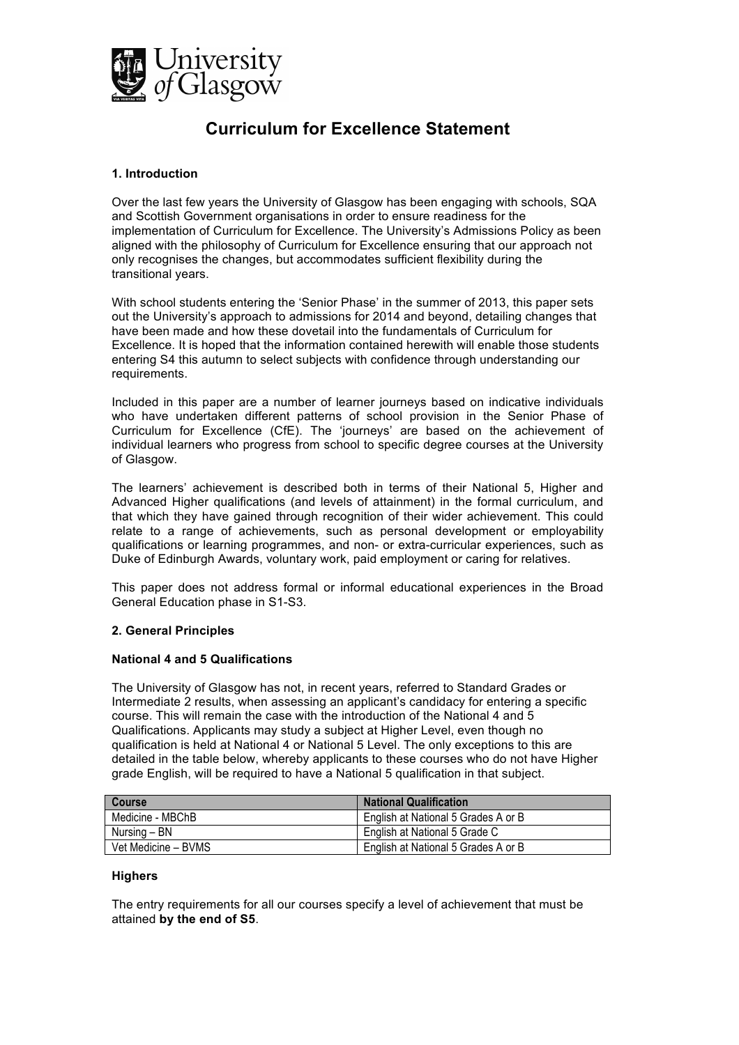

# **Curriculum for Excellence Statement**

# **1. Introduction**

Over the last few years the University of Glasgow has been engaging with schools, SQA and Scottish Government organisations in order to ensure readiness for the implementation of Curriculum for Excellence. The University's Admissions Policy as been aligned with the philosophy of Curriculum for Excellence ensuring that our approach not only recognises the changes, but accommodates sufficient flexibility during the transitional years.

With school students entering the 'Senior Phase' in the summer of 2013, this paper sets out the University's approach to admissions for 2014 and beyond, detailing changes that have been made and how these dovetail into the fundamentals of Curriculum for Excellence. It is hoped that the information contained herewith will enable those students entering S4 this autumn to select subjects with confidence through understanding our requirements.

Included in this paper are a number of learner journeys based on indicative individuals who have undertaken different patterns of school provision in the Senior Phase of Curriculum for Excellence (CfE). The 'journeys' are based on the achievement of individual learners who progress from school to specific degree courses at the University of Glasgow.

The learners' achievement is described both in terms of their National 5, Higher and Advanced Higher qualifications (and levels of attainment) in the formal curriculum, and that which they have gained through recognition of their wider achievement. This could relate to a range of achievements, such as personal development or employability qualifications or learning programmes, and non- or extra-curricular experiences, such as Duke of Edinburgh Awards, voluntary work, paid employment or caring for relatives.

This paper does not address formal or informal educational experiences in the Broad General Education phase in S1-S3.

# **2. General Principles**

## **National 4 and 5 Qualifications**

The University of Glasgow has not, in recent years, referred to Standard Grades or Intermediate 2 results, when assessing an applicant's candidacy for entering a specific course. This will remain the case with the introduction of the National 4 and 5 Qualifications. Applicants may study a subject at Higher Level, even though no qualification is held at National 4 or National 5 Level. The only exceptions to this are detailed in the table below, whereby applicants to these courses who do not have Higher grade English, will be required to have a National 5 qualification in that subject.

| Course              | <b>National Qualification</b>       |
|---------------------|-------------------------------------|
| Medicine - MBChB    | English at National 5 Grades A or B |
| Nursing – BN        | English at National 5 Grade C       |
| Vet Medicine - BVMS | English at National 5 Grades A or B |

## **Highers**

The entry requirements for all our courses specify a level of achievement that must be attained **by the end of S5**.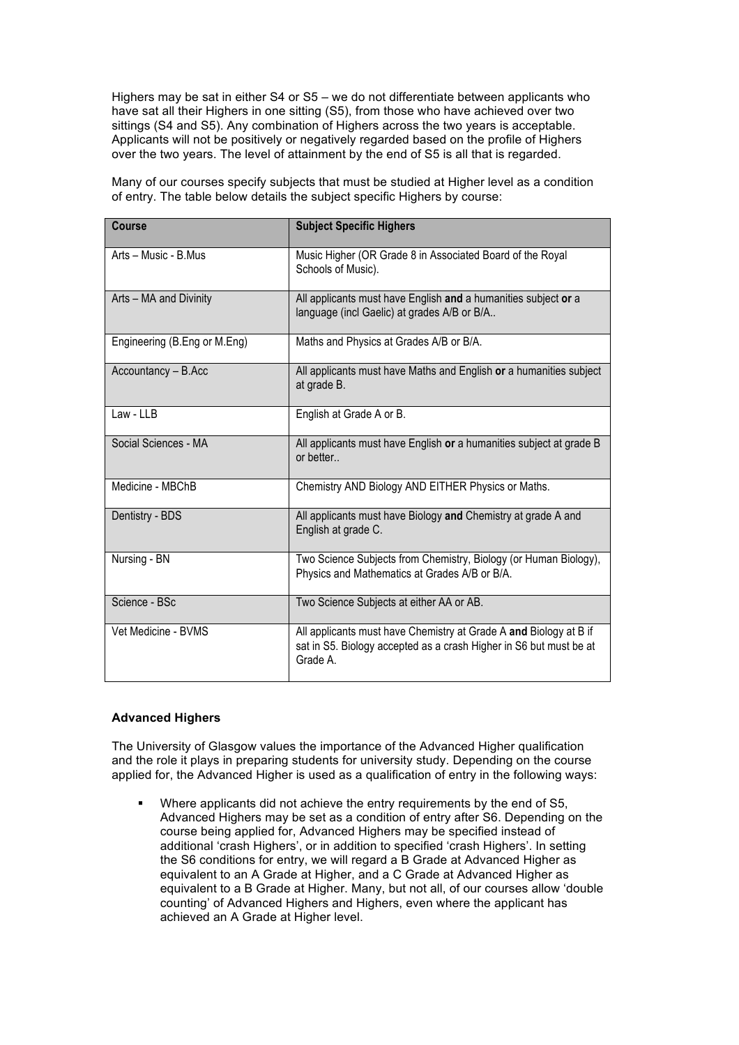Highers may be sat in either S4 or S5 – we do not differentiate between applicants who have sat all their Highers in one sitting (S5), from those who have achieved over two sittings (S4 and S5). Any combination of Highers across the two years is acceptable. Applicants will not be positively or negatively regarded based on the profile of Highers over the two years. The level of attainment by the end of S5 is all that is regarded.

Many of our courses specify subjects that must be studied at Higher level as a condition of entry. The table below details the subject specific Highers by course:

| Course                       | <b>Subject Specific Highers</b>                                                                                                                     |
|------------------------------|-----------------------------------------------------------------------------------------------------------------------------------------------------|
| Arts - Music - B.Mus         | Music Higher (OR Grade 8 in Associated Board of the Royal<br>Schools of Music).                                                                     |
| Arts - MA and Divinity       | All applicants must have English and a humanities subject or a<br>language (incl Gaelic) at grades A/B or B/A                                       |
| Engineering (B.Eng or M.Eng) | Maths and Physics at Grades A/B or B/A.                                                                                                             |
| Accountancy - B.Acc          | All applicants must have Maths and English or a humanities subject<br>at grade B.                                                                   |
| Law - LLB                    | English at Grade A or B.                                                                                                                            |
| Social Sciences - MA         | All applicants must have English or a humanities subject at grade B<br>or better                                                                    |
| Medicine - MBChB             | Chemistry AND Biology AND EITHER Physics or Maths.                                                                                                  |
| Dentistry - BDS              | All applicants must have Biology and Chemistry at grade A and<br>English at grade C.                                                                |
| Nursing - BN                 | Two Science Subjects from Chemistry, Biology (or Human Biology),<br>Physics and Mathematics at Grades A/B or B/A.                                   |
| Science - BSc                | Two Science Subjects at either AA or AB.                                                                                                            |
| Vet Medicine - BVMS          | All applicants must have Chemistry at Grade A and Biology at B if<br>sat in S5. Biology accepted as a crash Higher in S6 but must be at<br>Grade A. |

# **Advanced Highers**

The University of Glasgow values the importance of the Advanced Higher qualification and the role it plays in preparing students for university study. Depending on the course applied for, the Advanced Higher is used as a qualification of entry in the following ways:

 Where applicants did not achieve the entry requirements by the end of S5, Advanced Highers may be set as a condition of entry after S6. Depending on the course being applied for, Advanced Highers may be specified instead of additional 'crash Highers', or in addition to specified 'crash Highers'. In setting the S6 conditions for entry, we will regard a B Grade at Advanced Higher as equivalent to an A Grade at Higher, and a C Grade at Advanced Higher as equivalent to a B Grade at Higher. Many, but not all, of our courses allow 'double counting' of Advanced Highers and Highers, even where the applicant has achieved an A Grade at Higher level.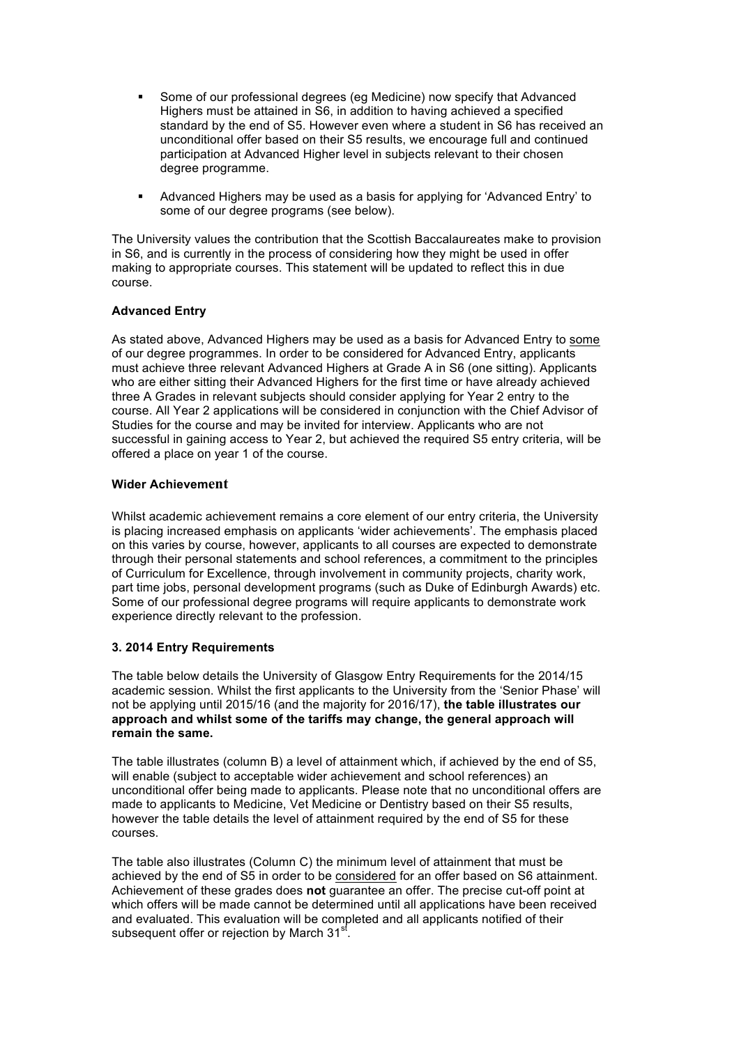- Some of our professional degrees (eg Medicine) now specify that Advanced Highers must be attained in S6, in addition to having achieved a specified standard by the end of S5. However even where a student in S6 has received an unconditional offer based on their S5 results, we encourage full and continued participation at Advanced Higher level in subjects relevant to their chosen degree programme.
- Advanced Highers may be used as a basis for applying for 'Advanced Entry' to some of our degree programs (see below).

The University values the contribution that the Scottish Baccalaureates make to provision in S6, and is currently in the process of considering how they might be used in offer making to appropriate courses. This statement will be updated to reflect this in due course.

# **Advanced Entry**

As stated above, Advanced Highers may be used as a basis for Advanced Entry to some of our degree programmes. In order to be considered for Advanced Entry, applicants must achieve three relevant Advanced Highers at Grade A in S6 (one sitting). Applicants who are either sitting their Advanced Highers for the first time or have already achieved three A Grades in relevant subjects should consider applying for Year 2 entry to the course. All Year 2 applications will be considered in conjunction with the Chief Advisor of Studies for the course and may be invited for interview. Applicants who are not successful in gaining access to Year 2, but achieved the required S5 entry criteria, will be offered a place on year 1 of the course.

#### **Wider Achievement**

Whilst academic achievement remains a core element of our entry criteria, the University is placing increased emphasis on applicants 'wider achievements'. The emphasis placed on this varies by course, however, applicants to all courses are expected to demonstrate through their personal statements and school references, a commitment to the principles of Curriculum for Excellence, through involvement in community projects, charity work, part time jobs, personal development programs (such as Duke of Edinburgh Awards) etc. Some of our professional degree programs will require applicants to demonstrate work experience directly relevant to the profession.

# **3. 2014 Entry Requirements**

The table below details the University of Glasgow Entry Requirements for the 2014/15 academic session. Whilst the first applicants to the University from the 'Senior Phase' will not be applying until 2015/16 (and the majority for 2016/17), **the table illustrates our approach and whilst some of the tariffs may change, the general approach will remain the same.**

The table illustrates (column B) a level of attainment which, if achieved by the end of S5, will enable (subject to acceptable wider achievement and school references) an unconditional offer being made to applicants. Please note that no unconditional offers are made to applicants to Medicine, Vet Medicine or Dentistry based on their S5 results, however the table details the level of attainment required by the end of S5 for these courses.

The table also illustrates (Column C) the minimum level of attainment that must be achieved by the end of S5 in order to be considered for an offer based on S6 attainment. Achievement of these grades does **not** guarantee an offer. The precise cut-off point at which offers will be made cannot be determined until all applications have been received and evaluated. This evaluation will be completed and all applicants notified of their subsequent offer or rejection by March 31<sup>st</sup>.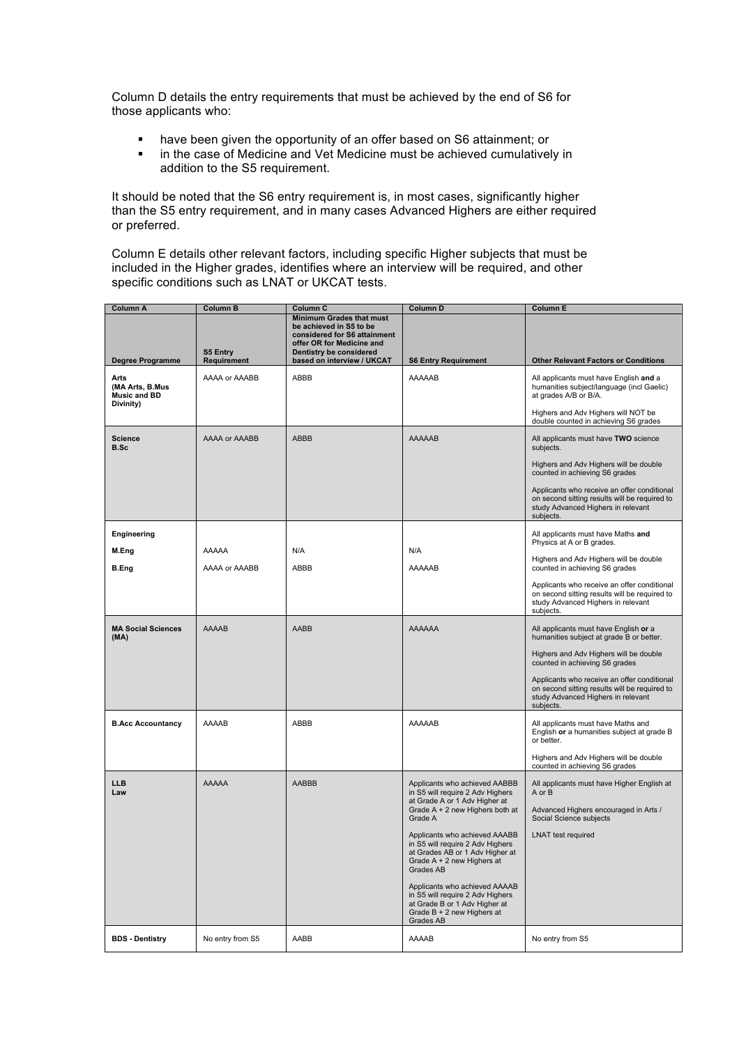Column D details the entry requirements that must be achieved by the end of S6 for those applicants who:

- have been given the opportunity of an offer based on S6 attainment; or
- **EXECT** in the case of Medicine and Vet Medicine must be achieved cumulatively in addition to the S5 requirement.

It should be noted that the S6 entry requirement is, in most cases, significantly higher than the S5 entry requirement, and in many cases Advanced Highers are either required or preferred.

Column E details other relevant factors, including specific Higher subjects that must be included in the Higher grades, identifies where an interview will be required, and other specific conditions such as LNAT or UKCAT tests.

| Column A                                              | Column B         | Column C                                                                                                                                                                         | Column D                                                                                                                                        | <b>Column E</b>                                                                                                                                     |
|-------------------------------------------------------|------------------|----------------------------------------------------------------------------------------------------------------------------------------------------------------------------------|-------------------------------------------------------------------------------------------------------------------------------------------------|-----------------------------------------------------------------------------------------------------------------------------------------------------|
| Degree Programme                                      | S5 Entry         | <b>Minimum Grades that must</b><br>be achieved in S5 to be<br>considered for S6 attainment<br>offer OR for Medicine and<br>Dentistry be considered<br>based on interview / UKCAT |                                                                                                                                                 | <b>Other Relevant Factors or Conditions</b>                                                                                                         |
|                                                       | Requirement      |                                                                                                                                                                                  | <b>S6 Entry Requirement</b>                                                                                                                     |                                                                                                                                                     |
| Arts<br>(MA Arts, B.Mus)<br>Music and BD<br>Divinity) | AAAA or AAABB    | ABBB                                                                                                                                                                             | AAAAAB                                                                                                                                          | All applicants must have English and a<br>humanities subject/language (incl Gaelic)<br>at grades A/B or B/A.<br>Highers and Adv Highers will NOT be |
|                                                       |                  |                                                                                                                                                                                  |                                                                                                                                                 | double counted in achieving S6 grades                                                                                                               |
| <b>Science</b><br><b>B.Sc</b>                         | AAAA or AAABB    | <b>ABBB</b>                                                                                                                                                                      | <b>AAAAAB</b>                                                                                                                                   | All applicants must have TWO science<br>subjects.                                                                                                   |
|                                                       |                  |                                                                                                                                                                                  |                                                                                                                                                 | Highers and Adv Highers will be double<br>counted in achieving S6 grades                                                                            |
|                                                       |                  |                                                                                                                                                                                  |                                                                                                                                                 | Applicants who receive an offer conditional<br>on second sitting results will be required to<br>study Advanced Highers in relevant<br>subjects.     |
| Engineering                                           |                  |                                                                                                                                                                                  |                                                                                                                                                 | All applicants must have Maths and<br>Physics at A or B grades.                                                                                     |
| M.Eng                                                 | AAAAA            | N/A                                                                                                                                                                              | N/A                                                                                                                                             |                                                                                                                                                     |
| <b>B.Eng</b>                                          | AAAA or AAABB    | ABBB                                                                                                                                                                             | AAAAAB                                                                                                                                          | Highers and Adv Highers will be double<br>counted in achieving S6 grades                                                                            |
|                                                       |                  |                                                                                                                                                                                  |                                                                                                                                                 | Applicants who receive an offer conditional<br>on second sitting results will be required to<br>study Advanced Highers in relevant<br>subjects.     |
| <b>MA Social Sciences</b><br>(MA)                     | <b>AAAAB</b>     | <b>AABB</b>                                                                                                                                                                      | <b>AAAAAA</b>                                                                                                                                   | All applicants must have English or a<br>humanities subject at grade B or better.                                                                   |
|                                                       |                  |                                                                                                                                                                                  |                                                                                                                                                 | Highers and Adv Highers will be double<br>counted in achieving S6 grades                                                                            |
|                                                       |                  |                                                                                                                                                                                  |                                                                                                                                                 | Applicants who receive an offer conditional<br>on second sitting results will be required to<br>study Advanced Highers in relevant<br>subjects.     |
| <b>B.Acc Accountancy</b>                              | ABBB<br>AAAAB    |                                                                                                                                                                                  | AAAAAB                                                                                                                                          | All applicants must have Maths and<br>English or a humanities subject at grade B<br>or better.                                                      |
|                                                       |                  |                                                                                                                                                                                  |                                                                                                                                                 | Highers and Adv Highers will be double<br>counted in achieving S6 grades                                                                            |
| <b>LLB</b><br>Law                                     | AAAAA            | <b>AABBB</b>                                                                                                                                                                     | Applicants who achieved AABBB<br>in S5 will require 2 Adv Highers<br>at Grade A or 1 Adv Higher at                                              | All applicants must have Higher English at<br>A or B                                                                                                |
|                                                       |                  |                                                                                                                                                                                  | Grade $A + 2$ new Highers both at<br>Grade A                                                                                                    | Advanced Highers encouraged in Arts /<br>Social Science subjects                                                                                    |
|                                                       |                  |                                                                                                                                                                                  | Applicants who achieved AAABB<br>in S5 will require 2 Adv Highers<br>at Grades AB or 1 Adv Higher at<br>Grade A + 2 new Highers at<br>Grades AB | <b>LNAT</b> test required                                                                                                                           |
|                                                       |                  |                                                                                                                                                                                  | Applicants who achieved AAAAB<br>in S5 will require 2 Adv Highers<br>at Grade B or 1 Adv Higher at<br>Grade $B + 2$ new Highers at<br>Grades AB |                                                                                                                                                     |
| <b>BDS</b> - Dentistry                                | No entry from S5 | AABB                                                                                                                                                                             | AAAAB                                                                                                                                           | No entry from S5                                                                                                                                    |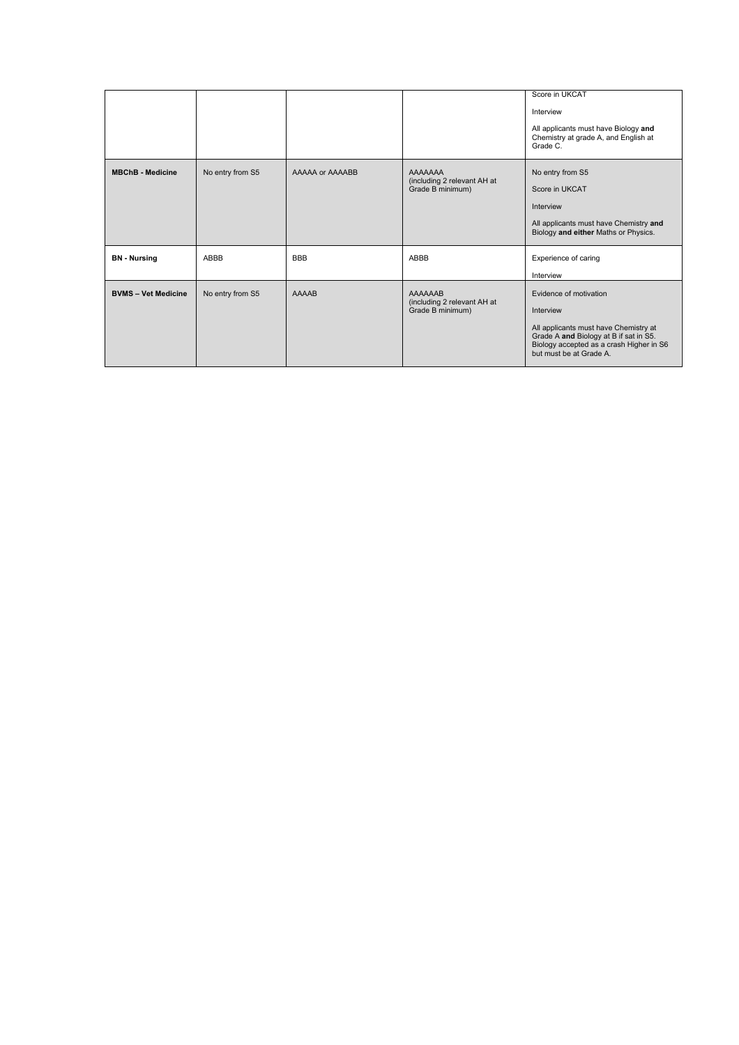|                            |                  |                 |                                                            | Score in UKCAT<br>Interview<br>All applicants must have Biology and<br>Chemistry at grade A, and English at<br>Grade C.                                                                       |
|----------------------------|------------------|-----------------|------------------------------------------------------------|-----------------------------------------------------------------------------------------------------------------------------------------------------------------------------------------------|
| <b>MBChB</b> - Medicine    | No entry from S5 | AAAAA or AAAABB | AAAAAAA<br>(including 2 relevant AH at<br>Grade B minimum) | No entry from S5<br>Score in UKCAT<br>Interview<br>All applicants must have Chemistry and<br>Biology and either Maths or Physics.                                                             |
| <b>BN</b> - Nursing        | ABBB             | <b>BBB</b>      | ABBB                                                       | Experience of caring<br>Interview                                                                                                                                                             |
| <b>BVMS - Vet Medicine</b> | No entry from S5 | <b>AAAAB</b>    | AAAAAAB<br>(including 2 relevant AH at<br>Grade B minimum) | Evidence of motivation<br>Interview<br>All applicants must have Chemistry at<br>Grade A and Biology at B if sat in S5.<br>Biology accepted as a crash Higher in S6<br>but must be at Grade A. |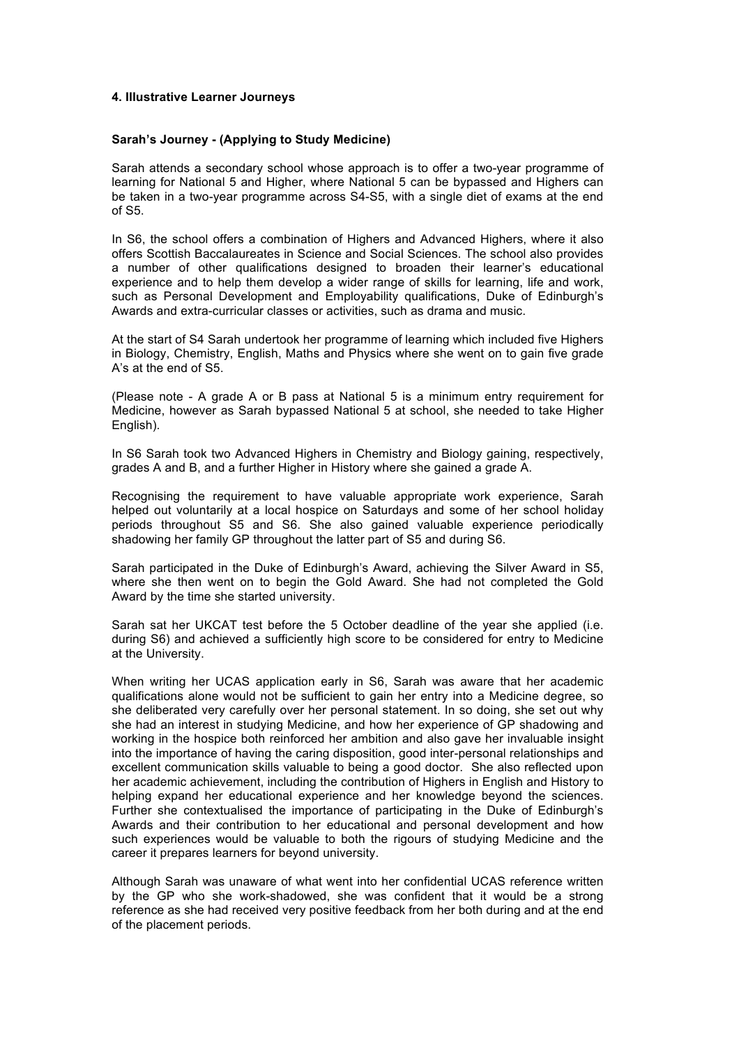## **4. Illustrative Learner Journeys**

#### **Sarah's Journey - (Applying to Study Medicine)**

Sarah attends a secondary school whose approach is to offer a two-year programme of learning for National 5 and Higher, where National 5 can be bypassed and Highers can be taken in a two-year programme across S4-S5, with a single diet of exams at the end of S5.

In S6, the school offers a combination of Highers and Advanced Highers, where it also offers Scottish Baccalaureates in Science and Social Sciences. The school also provides a number of other qualifications designed to broaden their learner's educational experience and to help them develop a wider range of skills for learning, life and work, such as Personal Development and Employability qualifications, Duke of Edinburgh's Awards and extra-curricular classes or activities, such as drama and music.

At the start of S4 Sarah undertook her programme of learning which included five Highers in Biology, Chemistry, English, Maths and Physics where she went on to gain five grade A's at the end of S5.

(Please note - A grade A or B pass at National 5 is a minimum entry requirement for Medicine, however as Sarah bypassed National 5 at school, she needed to take Higher English).

In S6 Sarah took two Advanced Highers in Chemistry and Biology gaining, respectively, grades A and B, and a further Higher in History where she gained a grade A.

Recognising the requirement to have valuable appropriate work experience, Sarah helped out voluntarily at a local hospice on Saturdays and some of her school holiday periods throughout S5 and S6. She also gained valuable experience periodically shadowing her family GP throughout the latter part of S5 and during S6.

Sarah participated in the Duke of Edinburgh's Award, achieving the Silver Award in S5, where she then went on to begin the Gold Award. She had not completed the Gold Award by the time she started university.

Sarah sat her UKCAT test before the 5 October deadline of the year she applied (i.e. during S6) and achieved a sufficiently high score to be considered for entry to Medicine at the University.

When writing her UCAS application early in S6, Sarah was aware that her academic qualifications alone would not be sufficient to gain her entry into a Medicine degree, so she deliberated very carefully over her personal statement. In so doing, she set out why she had an interest in studying Medicine, and how her experience of GP shadowing and working in the hospice both reinforced her ambition and also gave her invaluable insight into the importance of having the caring disposition, good inter-personal relationships and excellent communication skills valuable to being a good doctor. She also reflected upon her academic achievement, including the contribution of Highers in English and History to helping expand her educational experience and her knowledge beyond the sciences. Further she contextualised the importance of participating in the Duke of Edinburgh's Awards and their contribution to her educational and personal development and how such experiences would be valuable to both the rigours of studying Medicine and the career it prepares learners for beyond university.

Although Sarah was unaware of what went into her confidential UCAS reference written by the GP who she work-shadowed, she was confident that it would be a strong reference as she had received very positive feedback from her both during and at the end of the placement periods.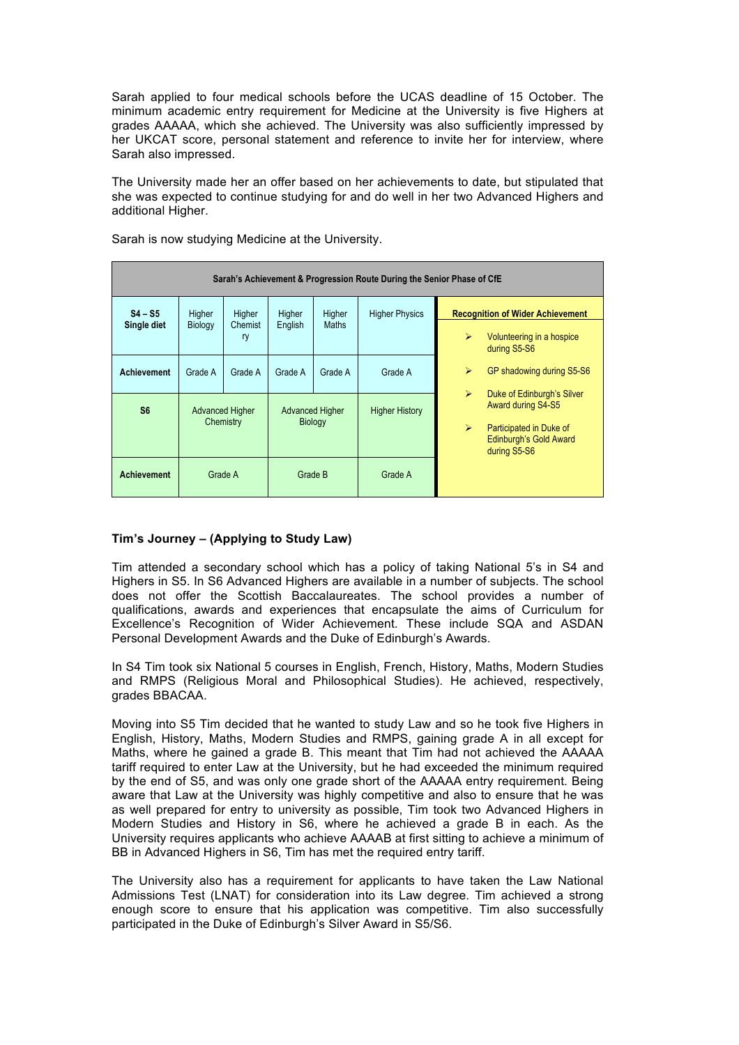Sarah applied to four medical schools before the UCAS deadline of 15 October. The minimum academic entry requirement for Medicine at the University is five Highers at grades AAAAA, which she achieved. The University was also sufficiently impressed by her UKCAT score, personal statement and reference to invite her for interview, where Sarah also impressed.

The University made her an offer based on her achievements to date, but stipulated that she was expected to continue studying for and do well in her two Advanced Highers and additional Higher.

| Sarah's Achievement & Progression Route During the Senior Phase of CfE |                    |                                     |                                          |                        |                       |                                                                                                                                                                                |  |  |  |  |  |
|------------------------------------------------------------------------|--------------------|-------------------------------------|------------------------------------------|------------------------|-----------------------|--------------------------------------------------------------------------------------------------------------------------------------------------------------------------------|--|--|--|--|--|
| $S4 - S5$<br>Single diet                                               | Higher<br>Biology  | Higher<br>Chemist<br>ry             | Higher<br>English                        | Higher<br><b>Maths</b> | <b>Higher Physics</b> | <b>Recognition of Wider Achievement</b><br>$\blacktriangleright$<br>Volunteering in a hospice<br>during S5-S6                                                                  |  |  |  |  |  |
| <b>Achievement</b>                                                     | Grade A            | Grade A                             | Grade A                                  | Grade A                | Grade A               | ⋗<br>GP shadowing during S5-S6                                                                                                                                                 |  |  |  |  |  |
| S <sub>6</sub>                                                         |                    | <b>Advanced Higher</b><br>Chemistry | <b>Advanced Higher</b><br><b>Biology</b> |                        | <b>Higher History</b> | $\blacktriangleright$<br>Duke of Edinburgh's Silver<br>Award during S4-S5<br>$\blacktriangleright$<br>Participated in Duke of<br><b>Edinburgh's Gold Award</b><br>during S5-S6 |  |  |  |  |  |
| <b>Achievement</b>                                                     | Grade B<br>Grade A |                                     |                                          |                        | Grade A               |                                                                                                                                                                                |  |  |  |  |  |

Sarah is now studying Medicine at the University.

# **Tim's Journey – (Applying to Study Law)**

Tim attended a secondary school which has a policy of taking National 5's in S4 and Highers in S5. In S6 Advanced Highers are available in a number of subjects. The school does not offer the Scottish Baccalaureates. The school provides a number of qualifications, awards and experiences that encapsulate the aims of Curriculum for Excellence's Recognition of Wider Achievement. These include SQA and ASDAN Personal Development Awards and the Duke of Edinburgh's Awards.

In S4 Tim took six National 5 courses in English, French, History, Maths, Modern Studies and RMPS (Religious Moral and Philosophical Studies). He achieved, respectively, grades BBACAA.

Moving into S5 Tim decided that he wanted to study Law and so he took five Highers in English, History, Maths, Modern Studies and RMPS, gaining grade A in all except for Maths, where he gained a grade B. This meant that Tim had not achieved the AAAAA tariff required to enter Law at the University, but he had exceeded the minimum required by the end of S5, and was only one grade short of the AAAAA entry requirement. Being aware that Law at the University was highly competitive and also to ensure that he was as well prepared for entry to university as possible, Tim took two Advanced Highers in Modern Studies and History in S6, where he achieved a grade B in each. As the University requires applicants who achieve AAAAB at first sitting to achieve a minimum of BB in Advanced Highers in S6, Tim has met the required entry tariff.

The University also has a requirement for applicants to have taken the Law National Admissions Test (LNAT) for consideration into its Law degree. Tim achieved a strong enough score to ensure that his application was competitive. Tim also successfully participated in the Duke of Edinburgh's Silver Award in S5/S6.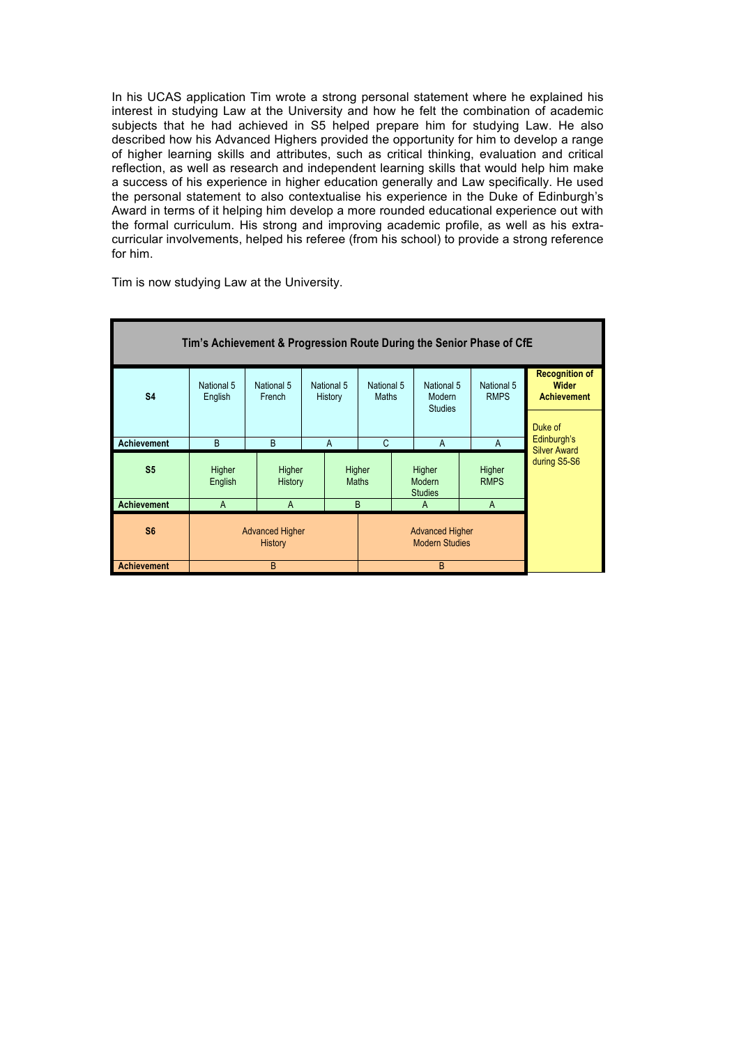In his UCAS application Tim wrote a strong personal statement where he explained his interest in studying Law at the University and how he felt the combination of academic subjects that he had achieved in S5 helped prepare him for studying Law. He also described how his Advanced Highers provided the opportunity for him to develop a range of higher learning skills and attributes, such as critical thinking, evaluation and critical reflection, as well as research and independent learning skills that would help him make a success of his experience in higher education generally and Law specifically. He used the personal statement to also contextualise his experience in the Duke of Edinburgh's Award in terms of it helping him develop a more rounded educational experience out with the formal curriculum. His strong and improving academic profile, as well as his extracurricular involvements, helped his referee (from his school) to provide a strong reference for him.



Tim is now studying Law at the University.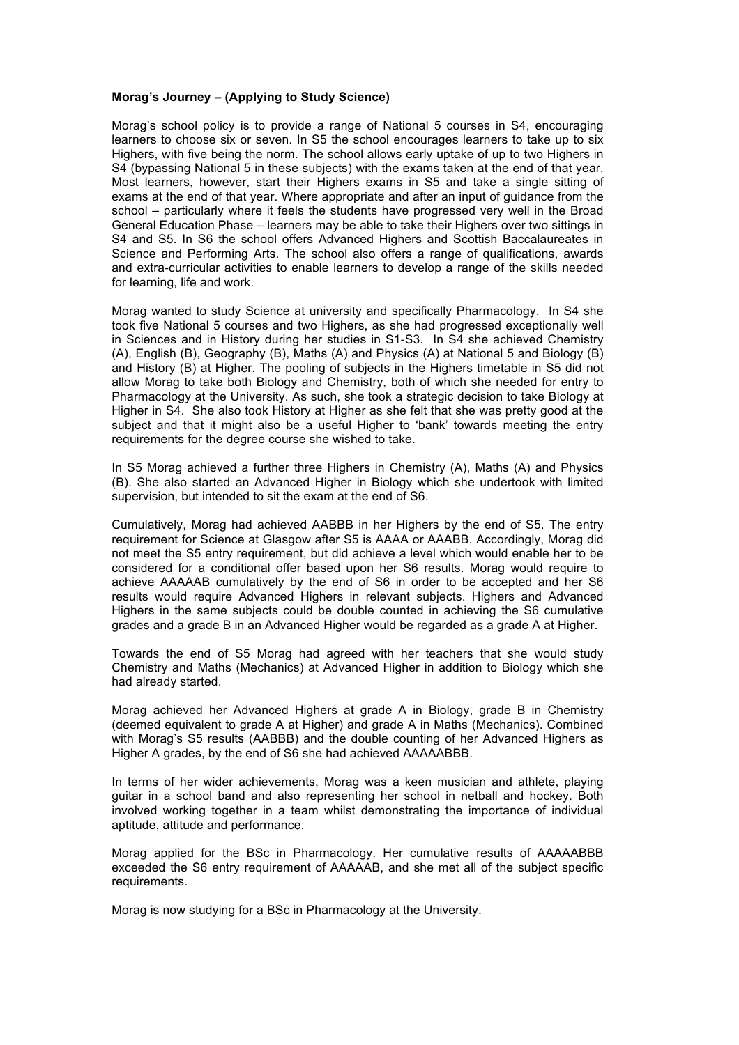#### **Morag's Journey – (Applying to Study Science)**

Morag's school policy is to provide a range of National 5 courses in S4, encouraging learners to choose six or seven. In S5 the school encourages learners to take up to six Highers, with five being the norm. The school allows early uptake of up to two Highers in S4 (bypassing National 5 in these subjects) with the exams taken at the end of that year. Most learners, however, start their Highers exams in S5 and take a single sitting of exams at the end of that year. Where appropriate and after an input of guidance from the school – particularly where it feels the students have progressed very well in the Broad General Education Phase – learners may be able to take their Highers over two sittings in S4 and S5. In S6 the school offers Advanced Highers and Scottish Baccalaureates in Science and Performing Arts. The school also offers a range of qualifications, awards and extra-curricular activities to enable learners to develop a range of the skills needed for learning, life and work.

Morag wanted to study Science at university and specifically Pharmacology. In S4 she took five National 5 courses and two Highers, as she had progressed exceptionally well in Sciences and in History during her studies in S1-S3. In S4 she achieved Chemistry (A), English (B), Geography (B), Maths (A) and Physics (A) at National 5 and Biology (B) and History (B) at Higher. The pooling of subjects in the Highers timetable in S5 did not allow Morag to take both Biology and Chemistry, both of which she needed for entry to Pharmacology at the University. As such, she took a strategic decision to take Biology at Higher in S4. She also took History at Higher as she felt that she was pretty good at the subject and that it might also be a useful Higher to 'bank' towards meeting the entry requirements for the degree course she wished to take.

In S5 Morag achieved a further three Highers in Chemistry (A), Maths (A) and Physics (B). She also started an Advanced Higher in Biology which she undertook with limited supervision, but intended to sit the exam at the end of S6.

Cumulatively, Morag had achieved AABBB in her Highers by the end of S5. The entry requirement for Science at Glasgow after S5 is AAAA or AAABB. Accordingly, Morag did not meet the S5 entry requirement, but did achieve a level which would enable her to be considered for a conditional offer based upon her S6 results. Morag would require to achieve AAAAAB cumulatively by the end of S6 in order to be accepted and her S6 results would require Advanced Highers in relevant subjects. Highers and Advanced Highers in the same subjects could be double counted in achieving the S6 cumulative grades and a grade B in an Advanced Higher would be regarded as a grade A at Higher.

Towards the end of S5 Morag had agreed with her teachers that she would study Chemistry and Maths (Mechanics) at Advanced Higher in addition to Biology which she had already started.

Morag achieved her Advanced Highers at grade A in Biology, grade B in Chemistry (deemed equivalent to grade A at Higher) and grade A in Maths (Mechanics). Combined with Morag's S5 results (AABBB) and the double counting of her Advanced Highers as Higher A grades, by the end of S6 she had achieved AAAAABBB.

In terms of her wider achievements, Morag was a keen musician and athlete, playing guitar in a school band and also representing her school in netball and hockey. Both involved working together in a team whilst demonstrating the importance of individual aptitude, attitude and performance.

Morag applied for the BSc in Pharmacology. Her cumulative results of AAAAABBB exceeded the S6 entry requirement of AAAAAB, and she met all of the subject specific requirements.

Morag is now studying for a BSc in Pharmacology at the University.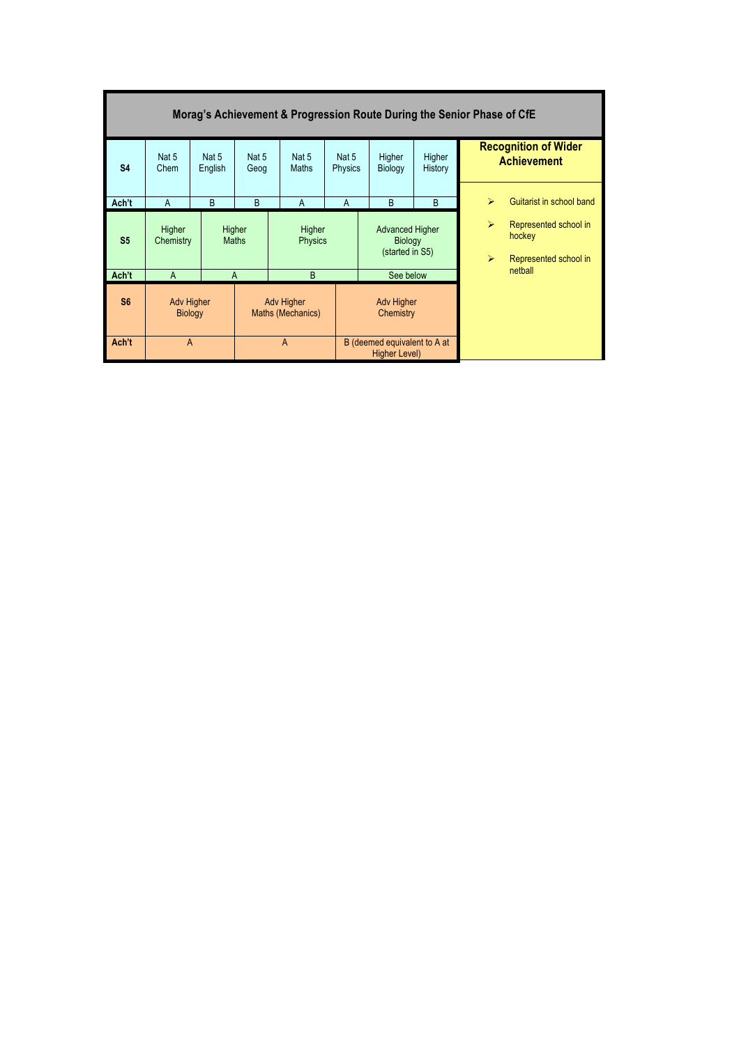| Morag's Achievement & Progression Route During the Senior Phase of CfE |                     |                                     |                        |                                        |                         |                                                             |   |                                                |                                                          |  |  |
|------------------------------------------------------------------------|---------------------|-------------------------------------|------------------------|----------------------------------------|-------------------------|-------------------------------------------------------------|---|------------------------------------------------|----------------------------------------------------------|--|--|
| <b>S4</b>                                                              | Nat 5<br>Chem       | Nat 5<br>English                    | Nat 5<br>Geog          | Nat 5<br>Maths                         | Nat 5<br><b>Physics</b> | Higher<br>Higher<br>Biology<br>History                      |   |                                                | <b>Recognition of Wider</b><br><b>Achievement</b>        |  |  |
|                                                                        | $\overline{A}$      | B                                   | B                      | A                                      | A                       | B                                                           | B | $\blacktriangleright$                          | Guitarist in school band                                 |  |  |
| Ach't                                                                  |                     |                                     |                        |                                        |                         |                                                             |   |                                                |                                                          |  |  |
| S <sub>5</sub>                                                         | Higher<br>Chemistry |                                     | Higher<br><b>Maths</b> | Higher<br><b>Physics</b>               |                         | <b>Advanced Higher</b><br><b>Biology</b><br>(started in S5) |   | $\blacktriangleright$<br>$\blacktriangleright$ | Represented school in<br>hockey<br>Represented school in |  |  |
| Ach't                                                                  | $\overline{A}$      |                                     | $\overline{A}$         | B                                      |                         | See below                                                   |   |                                                | netball                                                  |  |  |
| S <sub>6</sub>                                                         |                     | <b>Adv Higher</b><br><b>Biology</b> |                        | <b>Adv Higher</b><br>Maths (Mechanics) |                         | <b>Adv Higher</b><br>Chemistry                              |   |                                                |                                                          |  |  |
| Ach't                                                                  | $\overline{A}$      |                                     |                        | $\overline{A}$                         |                         | B (deemed equivalent to A at<br><b>Higher Level)</b>        |   |                                                |                                                          |  |  |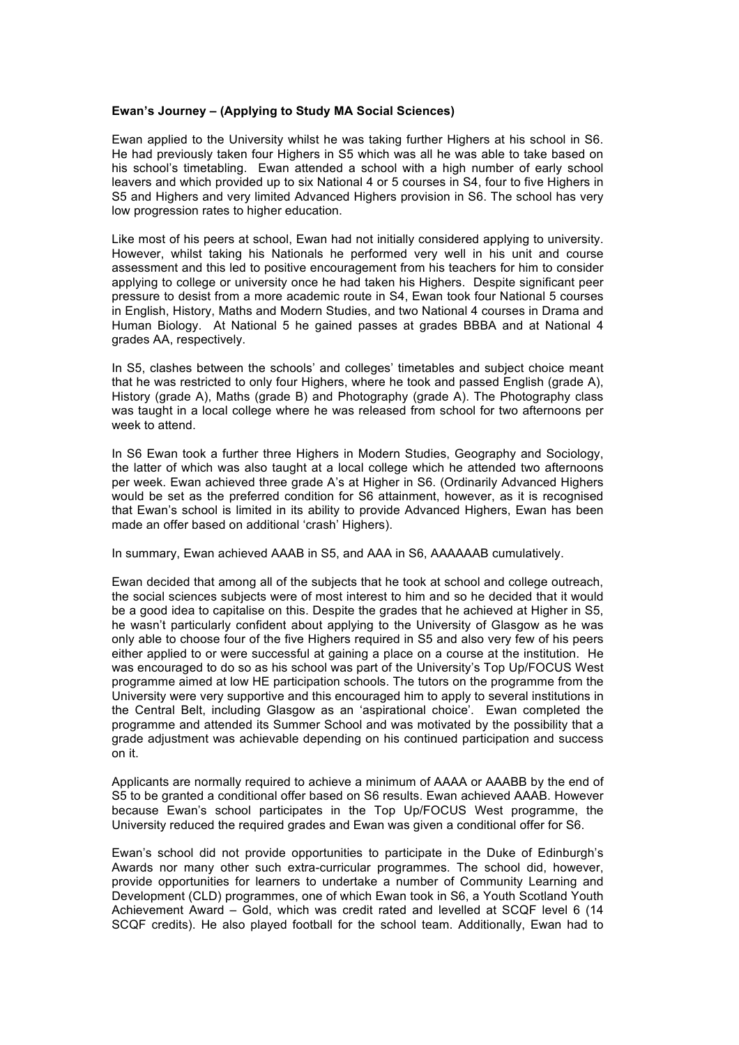#### **Ewan's Journey – (Applying to Study MA Social Sciences)**

Ewan applied to the University whilst he was taking further Highers at his school in S6. He had previously taken four Highers in S5 which was all he was able to take based on his school's timetabling. Ewan attended a school with a high number of early school leavers and which provided up to six National 4 or 5 courses in S4, four to five Highers in S5 and Highers and very limited Advanced Highers provision in S6. The school has very low progression rates to higher education.

Like most of his peers at school, Ewan had not initially considered applying to university. However, whilst taking his Nationals he performed very well in his unit and course assessment and this led to positive encouragement from his teachers for him to consider applying to college or university once he had taken his Highers. Despite significant peer pressure to desist from a more academic route in S4, Ewan took four National 5 courses in English, History, Maths and Modern Studies, and two National 4 courses in Drama and Human Biology. At National 5 he gained passes at grades BBBA and at National 4 grades AA, respectively.

In S5, clashes between the schools' and colleges' timetables and subject choice meant that he was restricted to only four Highers, where he took and passed English (grade A), History (grade A), Maths (grade B) and Photography (grade A). The Photography class was taught in a local college where he was released from school for two afternoons per week to attend.

In S6 Ewan took a further three Highers in Modern Studies, Geography and Sociology, the latter of which was also taught at a local college which he attended two afternoons per week. Ewan achieved three grade A's at Higher in S6. (Ordinarily Advanced Highers would be set as the preferred condition for S6 attainment, however, as it is recognised that Ewan's school is limited in its ability to provide Advanced Highers, Ewan has been made an offer based on additional 'crash' Highers).

In summary, Ewan achieved AAAB in S5, and AAA in S6, AAAAAAB cumulatively.

Ewan decided that among all of the subjects that he took at school and college outreach, the social sciences subjects were of most interest to him and so he decided that it would be a good idea to capitalise on this. Despite the grades that he achieved at Higher in S5, he wasn't particularly confident about applying to the University of Glasgow as he was only able to choose four of the five Highers required in S5 and also very few of his peers either applied to or were successful at gaining a place on a course at the institution. He was encouraged to do so as his school was part of the University's Top Up/FOCUS West programme aimed at low HE participation schools. The tutors on the programme from the University were very supportive and this encouraged him to apply to several institutions in the Central Belt, including Glasgow as an 'aspirational choice'. Ewan completed the programme and attended its Summer School and was motivated by the possibility that a grade adjustment was achievable depending on his continued participation and success on it.

Applicants are normally required to achieve a minimum of AAAA or AAABB by the end of S5 to be granted a conditional offer based on S6 results. Ewan achieved AAAB. However because Ewan's school participates in the Top Up/FOCUS West programme, the University reduced the required grades and Ewan was given a conditional offer for S6.

Ewan's school did not provide opportunities to participate in the Duke of Edinburgh's Awards nor many other such extra-curricular programmes. The school did, however, provide opportunities for learners to undertake a number of Community Learning and Development (CLD) programmes, one of which Ewan took in S6, a Youth Scotland Youth Achievement Award – Gold, which was credit rated and levelled at SCQF level 6 (14 SCQF credits). He also played football for the school team. Additionally, Ewan had to